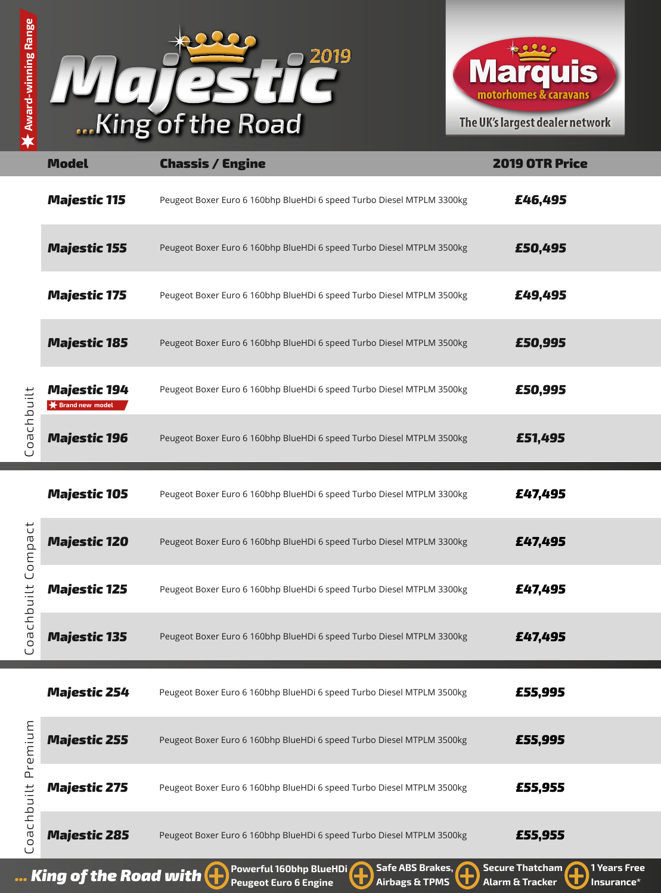



|                                              | <b>Model</b>                                    | <b>Chassis / Engine</b>                                               | <b>2019 OTR Price</b> |
|----------------------------------------------|-------------------------------------------------|-----------------------------------------------------------------------|-----------------------|
| oachbuilt<br>$\cup$                          | <b>Majestic 115</b>                             | Peugeot Boxer Euro 6 160bhp BlueHDi 6 speed Turbo Diesel MTPLM 3300kg | £46,495               |
|                                              | <b>Majestic 155</b>                             | Peugeot Boxer Euro 6 160bhp BlueHDi 6 speed Turbo Diesel MTPLM 3500kg | £50,495               |
|                                              | <b>Majestic 175</b>                             | Peugeot Boxer Euro 6 160bhp BlueHDi 6 speed Turbo Diesel MTPLM 3500kg | £49,495               |
|                                              | <b>Majestic 185</b>                             | Peugeot Boxer Euro 6 160bhp BlueHDi 6 speed Turbo Diesel MTPLM 3500kg | £50,995               |
|                                              | <b>Majestic 194</b><br><b>★ Brand new model</b> | Peugeot Boxer Euro 6 160bhp BlueHDi 6 speed Turbo Diesel MTPLM 3500kg | £50,995               |
|                                              | <b>Majestic 196</b>                             | Peugeot Boxer Euro 6 160bhp BlueHDi 6 speed Turbo Diesel MTPLM 3500kg | £51,495               |
| $\vec{U}$<br>Compa<br>chbuilt<br>Φ<br>ပ<br>ں | <b>Majestic 105</b>                             | Peugeot Boxer Euro 6 160bhp BlueHDi 6 speed Turbo Diesel MTPLM 3300kg | £47,495               |
|                                              | <b>Majestic 120</b>                             | Peugeot Boxer Euro 6 160bhp BlueHDi 6 speed Turbo Diesel MTPLM 3300kg | £47,495               |
|                                              | <b>Majestic 125</b>                             | Peugeot Boxer Euro 6 160bhp BlueHDi 6 speed Turbo Diesel MTPLM 3300kg | £47,495               |
|                                              | <b>Majestic 135</b>                             | Peugeot Boxer Euro 6 160bhp BlueHDi 6 speed Turbo Diesel MTPLM 3300kg | £47,495               |
| Premium<br>chbuilt<br>Φ                      | <b>Majestic 254</b>                             | Peugeot Boxer Euro 6 160bhp BlueHDi 6 speed Turbo Diesel MTPLM 3500kg | £55,995               |
|                                              | <b>Majestic 255</b>                             | Peugeot Boxer Euro 6 160bhp BlueHDi 6 speed Turbo Diesel MTPLM 3500kg | £55,995               |
|                                              | <b>Majestic 275</b>                             | Peugeot Boxer Euro 6 160bhp BlueHDi 6 speed Turbo Diesel MTPLM 3500kg | £55,955               |
|                                              | <b>Majestic 285</b>                             | Peugeot Boxer Euro 6 160bhp BlueHDi 6 speed Turbo Diesel MTPLM 3500kg | £55,955               |

**Award-winning Range**

**Award-winning Range** 

**Powerful 160bhp BlueHDi** Safe ABS Brakes, Secure Thatcham (1995) 1 Years Free **11 August 2018** 1 Vears Free **1 August 2018** 1 Vears Free **1 August 2018** 1 Vears Free **1 August 2018** 1 Insurance \*

**Safe ABS Brakes, Airbags & TPMS Secure Thatcham Alarm & Tracker**

**Insurance\***